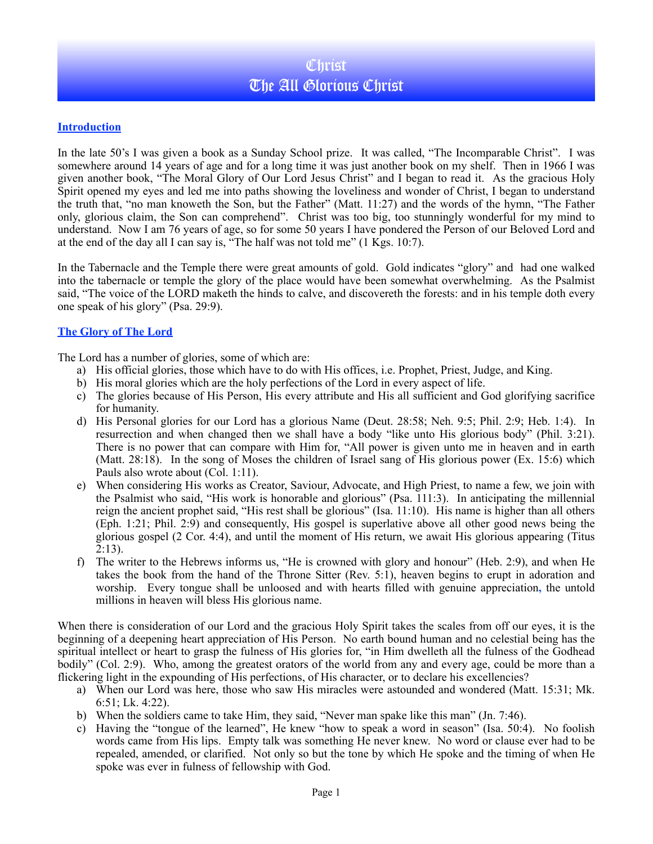## **Christ** The All Glorious Christ

#### **Introduction**

In the late 50's I was given a book as a Sunday School prize. It was called, "The Incomparable Christ". I was somewhere around 14 years of age and for a long time it was just another book on my shelf. Then in 1966 I was given another book, "The Moral Glory of Our Lord Jesus Christ" and I began to read it. As the gracious Holy Spirit opened my eyes and led me into paths showing the loveliness and wonder of Christ, I began to understand the truth that, "no man knoweth the Son, but the Father" (Matt. 11:27) and the words of the hymn, "The Father only, glorious claim, the Son can comprehend". Christ was too big, too stunningly wonderful for my mind to understand. Now I am 76 years of age, so for some 50 years I have pondered the Person of our Beloved Lord and at the end of the day all I can say is, "The half was not told me" (1 Kgs. 10:7).

In the Tabernacle and the Temple there were great amounts of gold. Gold indicates "glory" and had one walked into the tabernacle or temple the glory of the place would have been somewhat overwhelming. As the Psalmist said, "The voice of the LORD maketh the hinds to calve, and discovereth the forests: and in his temple doth every one speak of his glory" (Psa. 29:9).

#### **The Glory of The Lord**

The Lord has a number of glories, some of which are:

- a) His official glories, those which have to do with His offices, i.e. Prophet, Priest, Judge, and King.
- b) His moral glories which are the holy perfections of the Lord in every aspect of life.
- c) The glories because of His Person, His every attribute and His all sufficient and God glorifying sacrifice for humanity.
- d) His Personal glories for our Lord has a glorious Name (Deut. 28:58; Neh. 9:5; Phil. 2:9; Heb. 1:4). In resurrection and when changed then we shall have a body "like unto His glorious body" (Phil. 3:21). There is no power that can compare with Him for, "All power is given unto me in heaven and in earth (Matt. 28:18). In the song of Moses the children of Israel sang of His glorious power (Ex. 15:6) which Pauls also wrote about (Col. 1:11).
- e) When considering His works as Creator, Saviour, Advocate, and High Priest, to name a few, we join with the Psalmist who said, "His work is honorable and glorious" (Psa. 111:3). In anticipating the millennial reign the ancient prophet said, "His rest shall be glorious" (Isa. 11:10). His name is higher than all others (Eph. 1:21; Phil. 2:9) and consequently, His gospel is superlative above all other good news being the glorious gospel (2 Cor. 4:4), and until the moment of His return, we await His glorious appearing (Titus  $2:13$ ).
- f) The writer to the Hebrews informs us, "He is crowned with glory and honour" (Heb. 2:9), and when He takes the book from the hand of the Throne Sitter (Rev. 5:1), heaven begins to erupt in adoration and worship. Every tongue shall be unloosed and with hearts filled with genuine appreciation**,** the untold millions in heaven will bless His glorious name.

When there is consideration of our Lord and the gracious Holy Spirit takes the scales from off our eyes, it is the beginning of a deepening heart appreciation of His Person. No earth bound human and no celestial being has the spiritual intellect or heart to grasp the fulness of His glories for, "in Him dwelleth all the fulness of the Godhead bodily" (Col. 2:9). Who, among the greatest orators of the world from any and every age, could be more than a flickering light in the expounding of His perfections, of His character, or to declare his excellencies?

- a) When our Lord was here, those who saw His miracles were astounded and wondered (Matt. 15:31; Mk. 6:51; Lk. 4:22).
- b) When the soldiers came to take Him, they said, "Never man spake like this man" (Jn. 7:46).
- c) Having the "tongue of the learned", He knew "how to speak a word in season" (Isa. 50:4). No foolish words came from His lips. Empty talk was something He never knew. No word or clause ever had to be repealed, amended, or clarified. Not only so but the tone by which He spoke and the timing of when He spoke was ever in fulness of fellowship with God.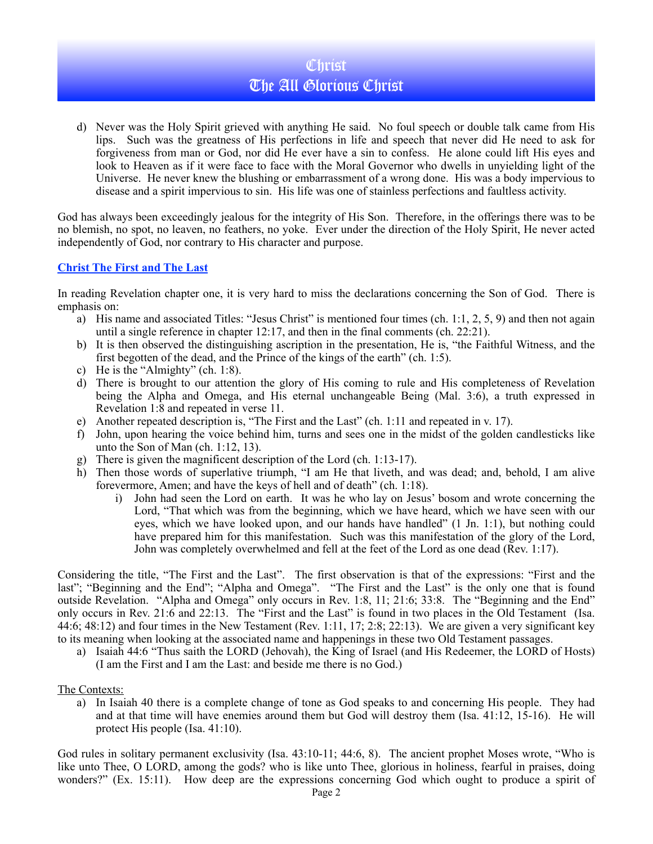## **Christ** The All Glorious Christ

d) Never was the Holy Spirit grieved with anything He said. No foul speech or double talk came from His lips. Such was the greatness of His perfections in life and speech that never did He need to ask for forgiveness from man or God, nor did He ever have a sin to confess. He alone could lift His eyes and look to Heaven as if it were face to face with the Moral Governor who dwells in unyielding light of the Universe. He never knew the blushing or embarrassment of a wrong done. His was a body impervious to disease and a spirit impervious to sin. His life was one of stainless perfections and faultless activity.

God has always been exceedingly jealous for the integrity of His Son. Therefore, in the offerings there was to be no blemish, no spot, no leaven, no feathers, no yoke. Ever under the direction of the Holy Spirit, He never acted independently of God, nor contrary to His character and purpose.

### **Christ The First and The Last**

In reading Revelation chapter one, it is very hard to miss the declarations concerning the Son of God. There is emphasis on:

- a) His name and associated Titles: "Jesus Christ" is mentioned four times (ch. 1:1, 2, 5, 9) and then not again until a single reference in chapter 12:17, and then in the final comments (ch. 22:21).
- b) It is then observed the distinguishing ascription in the presentation, He is, "the Faithful Witness, and the first begotten of the dead, and the Prince of the kings of the earth" (ch. 1:5).
- c) He is the "Almighty" (ch. 1:8).
- d) There is brought to our attention the glory of His coming to rule and His completeness of Revelation being the Alpha and Omega, and His eternal unchangeable Being (Mal. 3:6), a truth expressed in Revelation 1:8 and repeated in verse 11.
- e) Another repeated description is, "The First and the Last" (ch. 1:11 and repeated in v. 17).
- f) John, upon hearing the voice behind him, turns and sees one in the midst of the golden candlesticks like unto the Son of Man (ch. 1:12, 13).
- g) There is given the magnificent description of the Lord (ch. 1:13-17).
- h) Then those words of superlative triumph, "I am He that liveth, and was dead; and, behold, I am alive forevermore, Amen; and have the keys of hell and of death" (ch. 1:18).
	- i) John had seen the Lord on earth. It was he who lay on Jesus' bosom and wrote concerning the Lord, "That which was from the beginning, which we have heard, which we have seen with our eyes, which we have looked upon, and our hands have handled" (1 Jn. 1:1), but nothing could have prepared him for this manifestation. Such was this manifestation of the glory of the Lord, John was completely overwhelmed and fell at the feet of the Lord as one dead (Rev. 1:17).

Considering the title, "The First and the Last". The first observation is that of the expressions: "First and the last"; "Beginning and the End"; "Alpha and Omega". "The First and the Last" is the only one that is found outside Revelation. "Alpha and Omega" only occurs in Rev. 1:8, 11; 21:6; 33:8. The "Beginning and the End" only occurs in Rev. 21:6 and 22:13. The "First and the Last" is found in two places in the Old Testament (Isa. 44:6; 48:12) and four times in the New Testament (Rev. 1:11, 17; 2:8; 22:13). We are given a very significant key to its meaning when looking at the associated name and happenings in these two Old Testament passages.

a) Isaiah 44:6 "Thus saith the LORD (Jehovah), the King of Israel (and His Redeemer, the LORD of Hosts) (I am the First and I am the Last: and beside me there is no God.)

The Contexts:

a) In Isaiah 40 there is a complete change of tone as God speaks to and concerning His people. They had and at that time will have enemies around them but God will destroy them (Isa. 41:12, 15-16).He will protect His people (Isa. 41:10).

God rules in solitary permanent exclusivity (Isa. 43:10-11; 44:6, 8). The ancient prophet Moses wrote, "Who is like unto Thee, O LORD, among the gods? who is like unto Thee, glorious in holiness, fearful in praises, doing wonders?" (Ex. 15:11). How deep are the expressions concerning God which ought to produce a spirit of